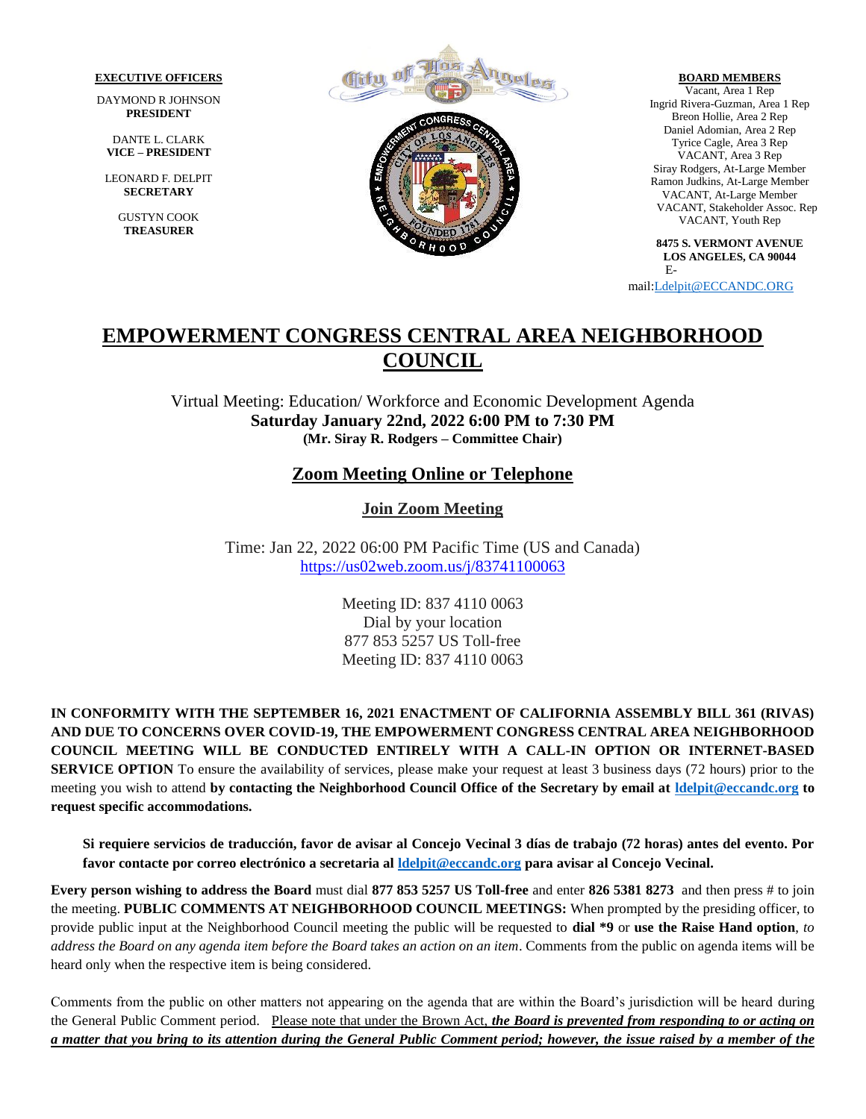#### **EXECUTIVE OFFICERS**

DAYMOND R JOHNSON **PRESIDENT**

DANTE L. CLARK **VICE – PRESIDENT**

LEONARD F. DELPIT **SECRETARY**

> GUSTYN COOK **TREASURER**



**BOARD MEMBERS** Vacant, Area 1 Rep

Ingrid Rivera-Guzman, Area 1 Rep Breon Hollie, Area 2 Rep Daniel Adomian, Area 2 Rep Tyrice Cagle, Area 3 Rep VACANT, Area 3 Rep Siray Rodgers, At-Large Member Ramon Judkins, At-Large Member VACANT, At-Large Member VACANT, Stakeholder Assoc. Rep VACANT, Youth Rep

**8475 S. VERMONT AVENUE LOS ANGELES, CA 90044** E-

mail[:Ldelpit@ECCANDC.ORG](mailto:Ldelpit@ECCANDC.ORG)

# **EMPOWERMENT CONGRESS CENTRAL AREA NEIGHBORHOOD COUNCIL**

Virtual Meeting: Education/ Workforce and Economic Development Agenda **Saturday January 22nd, 2022 6:00 PM to 7:30 PM (Mr. Siray R. Rodgers – Committee Chair)**

## **Zoom Meeting Online or Telephone**

**Join Zoom Meeting**

Time: Jan 22, 2022 06:00 PM Pacific Time (US and Canada) <https://us02web.zoom.us/j/83741100063>

> Meeting ID: 837 4110 0063 Dial by your location 877 853 5257 US Toll-free Meeting ID: 837 4110 0063

**IN CONFORMITY WITH THE SEPTEMBER 16, 2021 ENACTMENT OF CALIFORNIA ASSEMBLY BILL 361 (RIVAS) AND DUE TO CONCERNS OVER COVID-19, THE EMPOWERMENT CONGRESS CENTRAL AREA NEIGHBORHOOD COUNCIL MEETING WILL BE CONDUCTED ENTIRELY WITH A CALL-IN OPTION OR INTERNET-BASED SERVICE OPTION** To ensure the availability of services, please make your request at least 3 business days (72 hours) prior to the meeting you wish to attend **by contacting the Neighborhood Council Office of the Secretary by email at [ldelpit@eccandc.org](mailto:ldelpit@eccandc.org) to request specific accommodations.**

**Si requiere servicios de traducción, favor de avisar al Concejo Vecinal 3 días de trabajo (72 horas) antes del evento. Por favor contacte por correo electrónico a secretaria al [ldelpit@eccandc.org](mailto:ldelpit@eccandc.org) para avisar al Concejo Vecinal.**

**Every person wishing to address the Board** must dial **877 853 5257 US Toll-free** and enter **826 5381 8273** and then press # to join the meeting. **PUBLIC COMMENTS AT NEIGHBORHOOD COUNCIL MEETINGS:** When prompted by the presiding officer, to provide public input at the Neighborhood Council meeting the public will be requested to **dial \*9** or **use the Raise Hand option**, *to address the Board on any agenda item before the Board takes an action on an item*. Comments from the public on agenda items will be heard only when the respective item is being considered.

Comments from the public on other matters not appearing on the agenda that are within the Board's jurisdiction will be heard during the General Public Comment period.Please note that under the Brown Act, *the Board is prevented from responding to or acting on a matter that you bring to its attention during the General Public Comment period; however, the issue raised by a member of the*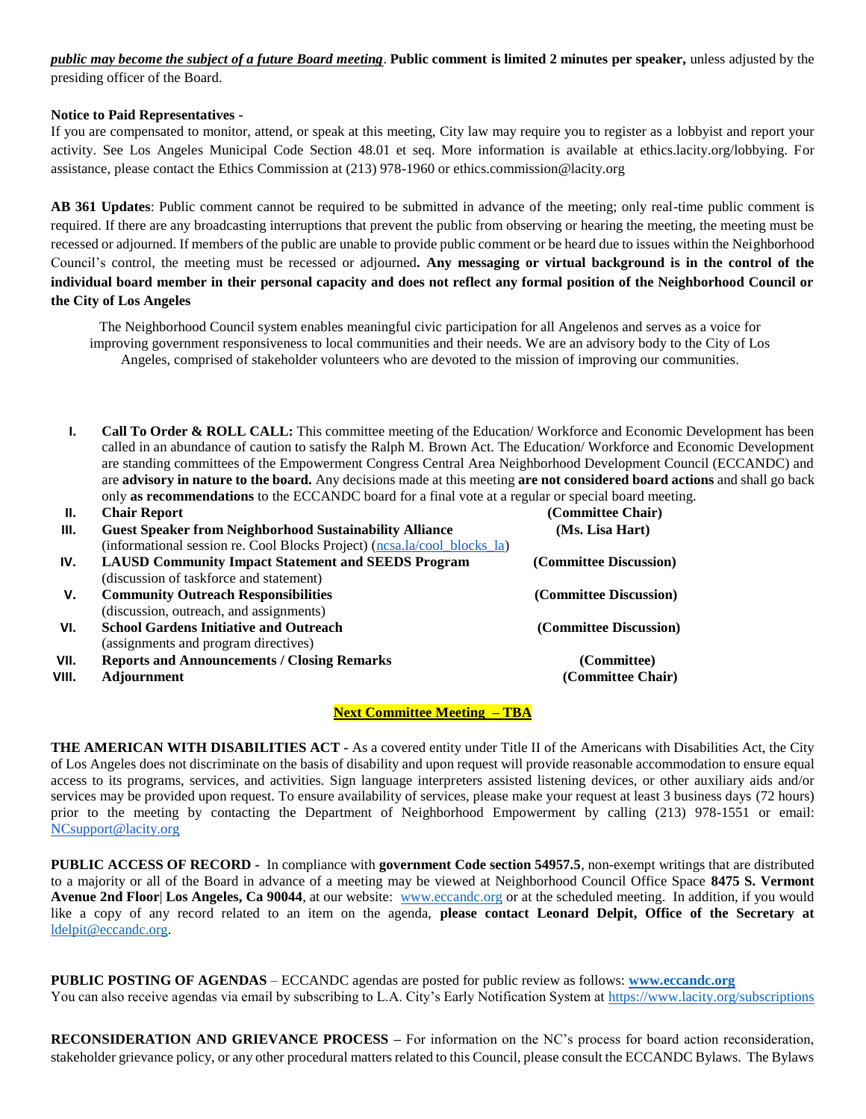*public may become the subject of a future Board meeting*. **Public comment is limited 2 minutes per speaker,** unless adjusted by the presiding officer of the Board.

### **Notice to Paid Representatives -**

If you are compensated to monitor, attend, or speak at this meeting, City law may require you to register as a lobbyist and report your activity. See Los Angeles Municipal Code Section 48.01 et seq. More information is available at ethics.lacity.org/lobbying. For assistance, please contact the Ethics Commission at (213) 978-1960 or ethics.commission@lacity.org

**AB 361 Updates**: Public comment cannot be required to be submitted in advance of the meeting; only real-time public comment is required. If there are any broadcasting interruptions that prevent the public from observing or hearing the meeting, the meeting must be recessed or adjourned. If members of the public are unable to provide public comment or be heard due to issues within the Neighborhood Council's control, the meeting must be recessed or adjourned*.* **Any messaging or virtual background is in the control of the individual board member in their personal capacity and does not reflect any formal position of the Neighborhood Council or the City of Los Angeles**

The Neighborhood Council system enables meaningful civic participation for all Angelenos and serves as a voice for improving government responsiveness to local communities and their needs. We are an advisory body to the City of Los Angeles, comprised of stakeholder volunteers who are devoted to the mission of improving our communities.

**I. Call To Order & ROLL CALL:** This committee meeting of the Education/ Workforce and Economic Development has been called in an abundance of caution to satisfy the Ralph M. Brown Act. The Education/ Workforce and Economic Development are standing committees of the Empowerment Congress Central Area Neighborhood Development Council (ECCANDC) and are **advisory in nature to the board.** Any decisions made at this meeting **are not considered board actions** and shall go back only **as recommendations** to the ECCANDC board for a final vote at a regular or special board meeting.

| Н.    | <b>Chair Report</b>                                                      | (Committee Chair)      |
|-------|--------------------------------------------------------------------------|------------------------|
| III.  | <b>Guest Speaker from Neighborhood Sustainability Alliance</b>           | (Ms. Lisa Hart)        |
|       | (informational session re. Cool Blocks Project) (nesa.la/cool blocks la) |                        |
| IV.   | <b>LAUSD Community Impact Statement and SEEDS Program</b>                | (Committee Discussion) |
|       | (discussion of taskforce and statement)                                  |                        |
| v.    | <b>Community Outreach Responsibilities</b>                               | (Committee Discussion) |
|       | (discussion, outreach, and assignments)                                  |                        |
| VI.   | <b>School Gardens Initiative and Outreach</b>                            | (Committee Discussion) |
|       | (assignments and program directives)                                     |                        |
| VII.  | <b>Reports and Announcements / Closing Remarks</b>                       | (Committee)            |
| VIII. | <b>Adjournment</b>                                                       | (Committee Chair)      |

### **Next Committee Meeting – TBA**

**THE AMERICAN WITH DISABILITIES ACT -** As a covered entity under Title II of the Americans with Disabilities Act, the City of Los Angeles does not discriminate on the basis of disability and upon request will provide reasonable accommodation to ensure equal access to its programs, services, and activities. Sign language interpreters assisted listening devices, or other auxiliary aids and/or services may be provided upon request. To ensure availability of services, please make your request at least 3 business days (72 hours) prior to the meeting by contacting the Department of Neighborhood Empowerment by calling (213) 978-1551 or email: [NCsupport@lacity.org](mailto:NCsupport@lacity.org)

**PUBLIC ACCESS OF RECORD -** In compliance with **government Code section 54957.5**, non-exempt writings that are distributed to a majority or all of the Board in advance of a meeting may be viewed at Neighborhood Council Office Space **8475 S. Vermont Avenue 2nd Floor**| **Los Angeles, Ca 90044**, at our website: [www.eccandc.org](http://www.eccandc.org/) or at the scheduled meeting. In addition, if you would like a copy of any record related to an item on the agenda, **please contact Leonard Delpit, Office of the Secretary at** [ldelpit@eccandc.org.](mailto:ldelpit@eccandc.org)

**PUBLIC POSTING OF AGENDAS** – ECCANDC agendas are posted for public review as follows: **[www.eccandc.org](http://www.eccandc.org/)** You can also receive agendas via email by subscribing to L.A. City's Early Notification System at <https://www.lacity.org/subscriptions>

**RECONSIDERATION AND GRIEVANCE PROCESS –** For information on the NC's process for board action reconsideration, stakeholder grievance policy, or any other procedural matters related to this Council, please consult the ECCANDC Bylaws. The Bylaws